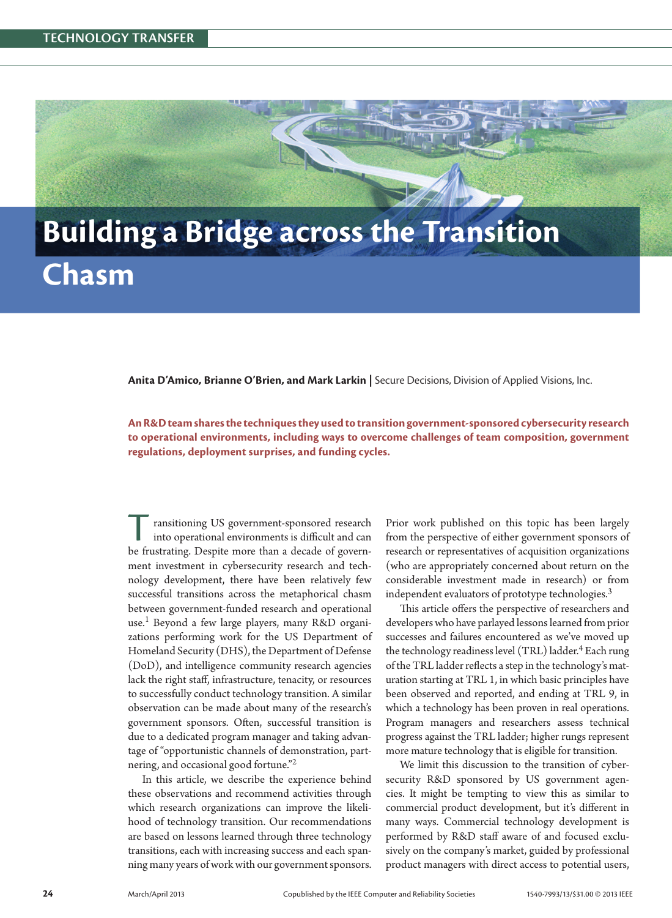

# **Building a Bridge across the Transition Chasm**

**Anita D'Amico, Brianne O'Brien, and Mark Larkin |** Secure Decisions, Division of Applied Visions, Inc.

**An R&D team shares the techniques they used to transition government-sponsored cybersecurity research to operational environments, including ways to overcome challenges of team composition, government regulations, deployment surprises, and funding cycles.** 

ransitioning US government-sponsored research into operational environments is difficult and can be frustrating. Despite more than a decade of government investment in cybersecurity research and technology development, there have been relatively few successful transitions across the metaphorical chasm between government-funded research and operational use.<sup>1</sup> Beyond a few large players, many R&D organizations performing work for the US Department of Homeland Security (DHS), the Department of Defense (DoD), and intelligence community research agencies lack the right staff, infrastructure, tenacity, or resources to successfully conduct technology transition. A similar observation can be made about many of the research's government sponsors. Often, successful transition is due to a dedicated program manager and taking advantage of "opportunistic channels of demonstration, partnering, and occasional good fortune."2

In this article, we describe the experience behind these observations and recommend activities through which research organizations can improve the likelihood of technology transition. Our recommendations are based on lessons learned through three technology transitions, each with increasing success and each spanning many years of work with our government sponsors.

Prior work published on this topic has been largely from the perspective of either government sponsors of research or representatives of acquisition organizations (who are appropriately concerned about return on the considerable investment made in research) or from independent evaluators of prototype technologies.<sup>3</sup>

This article offers the perspective of researchers and developers who have parlayed lessons learned from prior successes and failures encountered as we've moved up the technology readiness level (TRL) ladder.<sup>4</sup> Each rung of the TRL ladder reflects a step in the technology's maturation starting at TRL 1, in which basic principles have been observed and reported, and ending at TRL 9, in which a technology has been proven in real operations. Program managers and researchers assess technical progress against the TRL ladder; higher rungs represent more mature technology that is eligible for transition.

We limit this discussion to the transition of cybersecurity R&D sponsored by US government agencies. It might be tempting to view this as similar to commercial product development, but it's different in many ways. Commercial technology development is performed by R&D staff aware of and focused exclusively on the company's market, guided by professional product managers with direct access to potential users,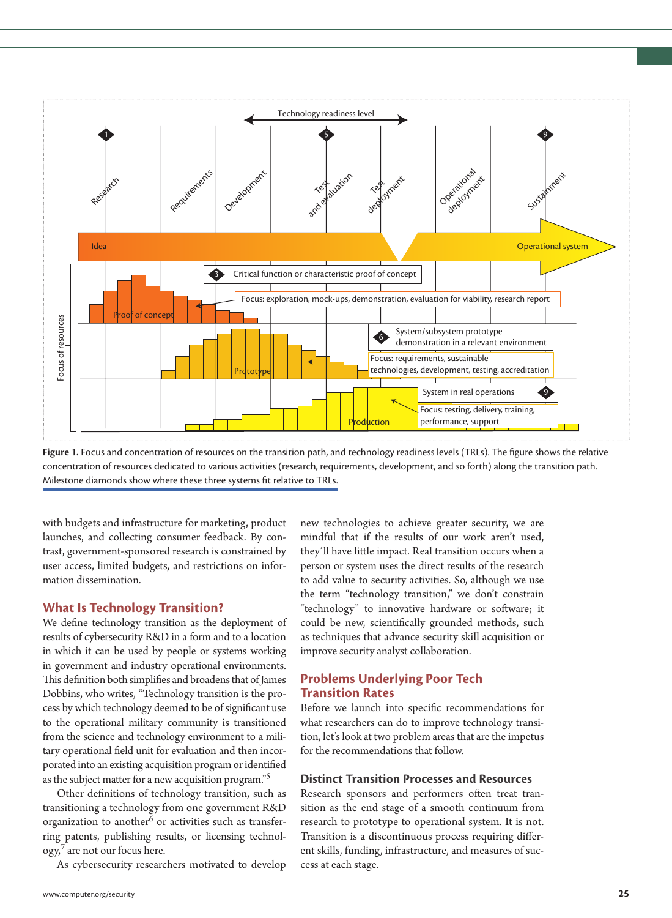

**Figure 1.** Focus and concentration of resources on the transition path, and technology readiness levels (TRLs). The figure shows the relative concentration of resources dedicated to various activities (research, requirements, development, and so forth) along the transition path. Milestone diamonds show where these three systems fit relative to TRLs.

with budgets and infrastructure for marketing, product launches, and collecting consumer feedback. By contrast, government-sponsored research is constrained by user access, limited budgets, and restrictions on information dissemination.

#### **What Is Technology Transition?**

We define technology transition as the deployment of results of cybersecurity R&D in a form and to a location in which it can be used by people or systems working in government and industry operational environments. This definition both simplifies and broadens that of James Dobbins, who writes, "Technology transition is the process by which technology deemed to be of significant use to the operational military community is transitioned from the science and technology environment to a military operational field unit for evaluation and then incorporated into an existing acquisition program or identified as the subject matter for a new acquisition program."<sup>5</sup>

Other definitions of technology transition, such as transitioning a technology from one government R&D organization to another<sup>6</sup> or activities such as transferring patents, publishing results, or licensing technol $ogy<sub>1</sub><sup>7</sup>$  are not our focus here.

As cybersecurity researchers motivated to develop

new technologies to achieve greater security, we are mindful that if the results of our work aren't used, they'll have little impact. Real transition occurs when a person or system uses the direct results of the research to add value to security activities. So, although we use the term "technology transition," we don't constrain "technology" to innovative hardware or software; it could be new, scientifically grounded methods, such as techniques that advance security skill acquisition or improve security analyst collaboration.

# **Problems Underlying Poor Tech Transition Rates**

Before we launch into specific recommendations for what researchers can do to improve technology transition, let's look at two problem areas that are the impetus for the recommendations that follow.

# **Distinct Transition Processes and Resources**

Research sponsors and performers often treat transition as the end stage of a smooth continuum from research to prototype to operational system. It is not. Transition is a discontinuous process requiring different skills, funding, infrastructure, and measures of success at each stage.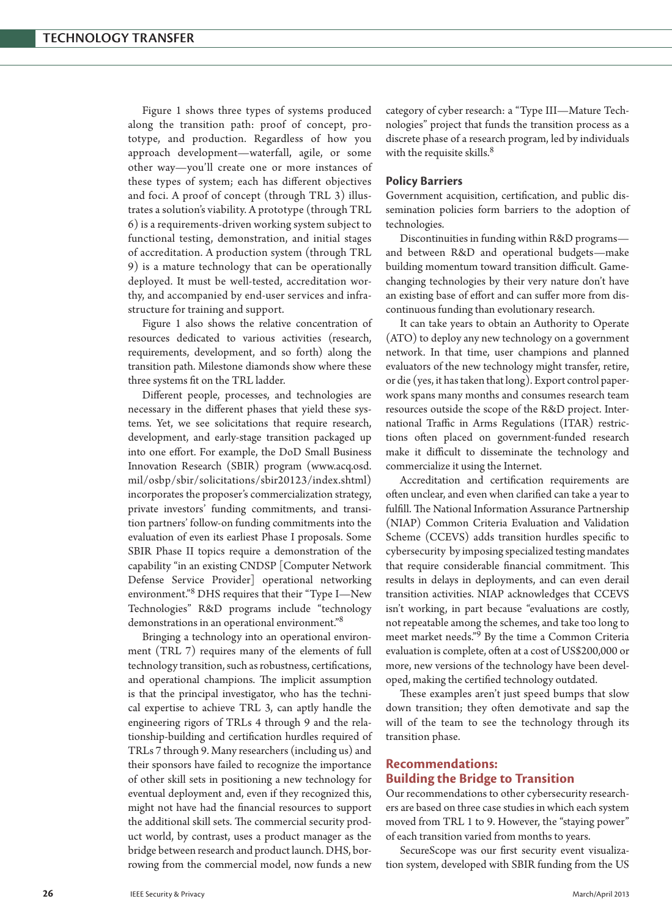Figure 1 shows three types of systems produced along the transition path: proof of concept, prototype, and production. Regardless of how you approach development—waterfall, agile, or some other way—you'll create one or more instances of these types of system; each has different objectives and foci. A proof of concept (through TRL 3) illustrates a solution's viability. A prototype (through TRL 6) is a requirements-driven working system subject to functional testing, demonstration, and initial stages of accreditation. A production system (through TRL 9) is a mature technology that can be operationally deployed. It must be well-tested, accreditation worthy, and accompanied by end-user services and infrastructure for training and support.

Figure 1 also shows the relative concentration of resources dedicated to various activities (research, requirements, development, and so forth) along the transition path. Milestone diamonds show where these three systems fit on the TRL ladder.

Different people, processes, and technologies are necessary in the different phases that yield these systems. Yet, we see solicitations that require research, development, and early-stage transition packaged up into one effort. For example, the DoD Small Business Innovation Research (SBIR) program (www.acq.osd. mil/osbp/sbir/solicitations/sbir20123/index.shtml) incorporates the proposer's commercialization strategy, private investors' funding commitments, and transition partners' follow-on funding commitments into the evaluation of even its earliest Phase I proposals. Some SBIR Phase II topics require a demonstration of the capability "in an existing CNDSP [Computer Network Defense Service Provider] operational networking environment."8 DHS requires that their "Type I—New Technologies" R&D programs include "technology demonstrations in an operational environment."8

Bringing a technology into an operational environment (TRL 7) requires many of the elements of full technology transition, such as robustness, certifications, and operational champions. The implicit assumption is that the principal investigator, who has the technical expertise to achieve TRL 3, can aptly handle the engineering rigors of TRLs 4 through 9 and the relationship-building and certification hurdles required of TRLs 7 through 9. Many researchers (including us) and their sponsors have failed to recognize the importance of other skill sets in positioning a new technology for eventual deployment and, even if they recognized this, might not have had the financial resources to support the additional skill sets. The commercial security product world, by contrast, uses a product manager as the bridge between research and product launch. DHS, borrowing from the commercial model, now funds a new

category of cyber research: a "Type III—Mature Technologies" project that funds the transition process as a discrete phase of a research program, led by individuals with the requisite skills.<sup>8</sup>

#### **Policy Barriers**

Government acquisition, certification, and public dissemination policies form barriers to the adoption of technologies.

Discontinuities in funding within R&D programs and between R&D and operational budgets—make building momentum toward transition difficult. Gamechanging technologies by their very nature don't have an existing base of effort and can suffer more from discontinuous funding than evolutionary research.

It can take years to obtain an Authority to Operate (ATO) to deploy any new technology on a government network. In that time, user champions and planned evaluators of the new technology might transfer, retire, or die (yes, it has taken that long). Export control paperwork spans many months and consumes research team resources outside the scope of the R&D project. International Traffic in Arms Regulations (ITAR) restrictions often placed on government-funded research make it difficult to disseminate the technology and commercialize it using the Internet.

Accreditation and certification requirements are often unclear, and even when clarified can take a year to fulfill. The National Information Assurance Partnership (NIAP) Common Criteria Evaluation and Validation Scheme (CCEVS) adds transition hurdles specific to cybersecurity by imposing specialized testing mandates that require considerable financial commitment. This results in delays in deployments, and can even derail transition activities. NIAP acknowledges that CCEVS isn't working, in part because "evaluations are costly, not repeatable among the schemes, and take too long to meet market needs."9 By the time a Common Criteria evaluation is complete, often at a cost of US\$200,000 or more, new versions of the technology have been developed, making the certified technology outdated.

These examples aren't just speed bumps that slow down transition; they often demotivate and sap the will of the team to see the technology through its transition phase.

# **Recommendations: Building the Bridge to Transition**

Our recommendations to other cybersecurity researchers are based on three case studies in which each system moved from TRL 1 to 9. However, the "staying power" of each transition varied from months to years.

SecureScope was our first security event visualization system, developed with SBIR funding from the US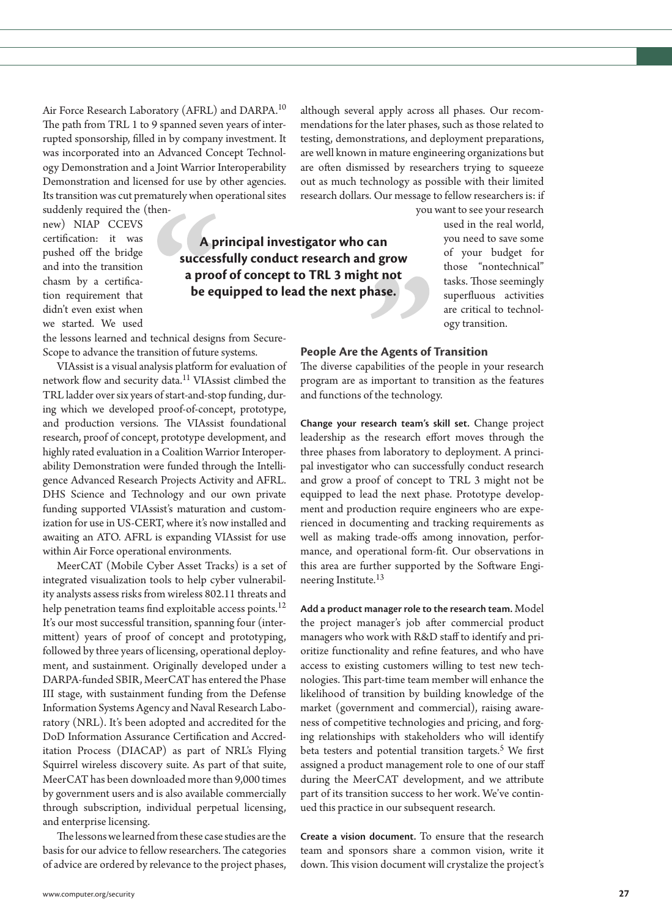Air Force Research Laboratory (AFRL) and DARPA.<sup>10</sup> The path from TRL 1 to 9 spanned seven years of interrupted sponsorship, filled in by company investment. It was incorporated into an Advanced Concept Technology Demonstration and a Joint Warrior Interoperability Demonstration and licensed for use by other agencies. Its transition was cut prematurely when operational sites suddenly required the (then-

new) NIAP CCEVS certification: it was pushed off the bridge and into the transition chasm by a certification requirement that didn't even exist when we started. We used

the lessons learned and technical designs from Secure-Scope to advance the transition of future systems.

VIAssist is a visual analysis platform for evaluation of network flow and security data.<sup>11</sup> VIAssist climbed the TRL ladder over six years of start-and-stop funding, during which we developed proof-of-concept, prototype, and production versions. The VIAssist foundational research, proof of concept, prototype development, and highly rated evaluation in a Coalition Warrior Interoperability Demonstration were funded through the Intelligence Advanced Research Projects Activity and AFRL. DHS Science and Technology and our own private funding supported VIAssist's maturation and customization for use in US-CERT, where it's now installed and awaiting an ATO. AFRL is expanding VIAssist for use within Air Force operational environments.

MeerCAT (Mobile Cyber Asset Tracks) is a set of integrated visualization tools to help cyber vulnerability analysts assess risks from wireless 802.11 threats and help penetration teams find exploitable access points.<sup>12</sup> It's our most successful transition, spanning four (intermittent) years of proof of concept and prototyping, followed by three years of licensing, operational deployment, and sustainment. Originally developed under a DARPA-funded SBIR, MeerCAT has entered the Phase III stage, with sustainment funding from the Defense Information Systems Agency and Naval Research Laboratory (NRL). It's been adopted and accredited for the DoD Information Assurance Certification and Accreditation Process (DIACAP) as part of NRL's Flying Squirrel wireless discovery suite. As part of that suite, MeerCAT has been downloaded more than 9,000 times by government users and is also available commercially through subscription, individual perpetual licensing, and enterprise licensing.

The lessons we learned from these case studies are the basis for our advice to fellow researchers. The categories of advice are ordered by relevance to the project phases, although several apply across all phases. Our recommendations for the later phases, such as those related to testing, demonstrations, and deployment preparations, are well known in mature engineering organizations but are often dismissed by researchers trying to squeeze out as much technology as possible with their limited research dollars. Our message to fellow researchers is: if

**A principal investigator who can successfully conduct research and grow a proof of concept to TRL 3 might not be equipped to lead the next phase.**

you want to see your research used in the real world, you need to save some of your budget for those "nontechnical" tasks. Those seemingly superfluous activities are critical to technology transition.

#### **People Are the Agents of Transition**

The diverse capabilities of the people in your research program are as important to transition as the features and functions of the technology.

**Change your research team's skill set.** Change project leadership as the research effort moves through the three phases from laboratory to deployment. A principal investigator who can successfully conduct research and grow a proof of concept to TRL 3 might not be equipped to lead the next phase. Prototype development and production require engineers who are experienced in documenting and tracking requirements as well as making trade-offs among innovation, performance, and operational form-fit. Our observations in this area are further supported by the Software Engineering Institute.<sup>13</sup>

**Add a product manager role to the research team.** Model the project manager's job after commercial product managers who work with R&D staff to identify and prioritize functionality and refine features, and who have access to existing customers willing to test new technologies. This part-time team member will enhance the likelihood of transition by building knowledge of the market (government and commercial), raising awareness of competitive technologies and pricing, and forging relationships with stakeholders who will identify beta testers and potential transition targets.<sup>5</sup> We first assigned a product management role to one of our staff during the MeerCAT development, and we attribute part of its transition success to her work. We've continued this practice in our subsequent research.

**Create a vision document.** To ensure that the research team and sponsors share a common vision, write it down. This vision document will crystalize the project's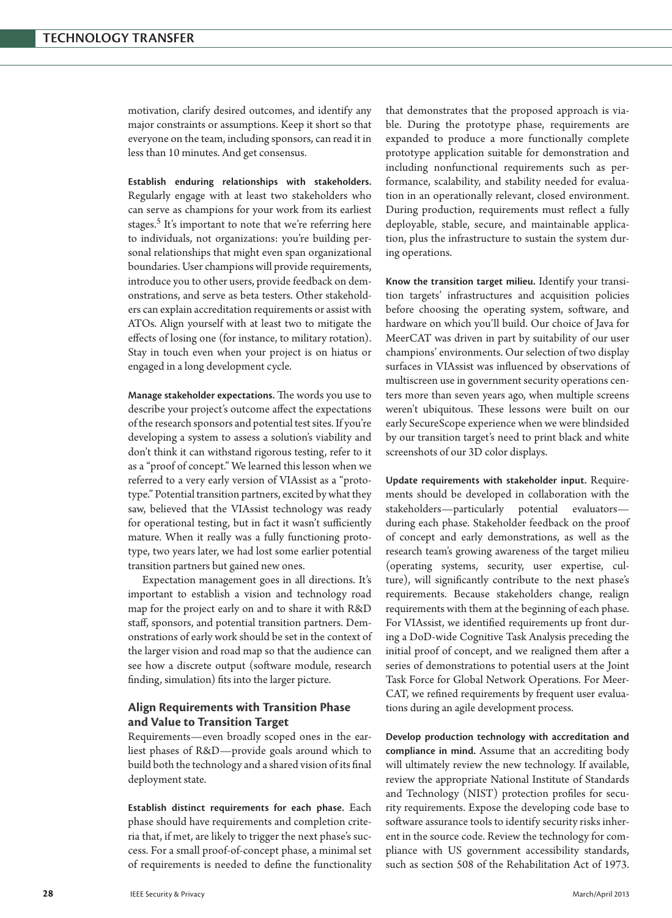motivation, clarify desired outcomes, and identify any major constraints or assumptions. Keep it short so that everyone on the team, including sponsors, can read it in less than 10 minutes. And get consensus.

**Establish enduring relationships with stakeholders.**  Regularly engage with at least two stakeholders who can serve as champions for your work from its earliest stages.<sup>5</sup> It's important to note that we're referring here to individuals, not organizations: you're building personal relationships that might even span organizational boundaries. User champions will provide requirements, introduce you to other users, provide feedback on demonstrations, and serve as beta testers. Other stakeholders can explain accreditation requirements or assist with ATOs. Align yourself with at least two to mitigate the effects of losing one (for instance, to military rotation). Stay in touch even when your project is on hiatus or engaged in a long development cycle.

**Manage stakeholder expectations.** The words you use to describe your project's outcome affect the expectations of the research sponsors and potential test sites. If you're developing a system to assess a solution's viability and don't think it can withstand rigorous testing, refer to it as a "proof of concept." We learned this lesson when we referred to a very early version of VIAssist as a "prototype." Potential transition partners, excited by what they saw, believed that the VIAssist technology was ready for operational testing, but in fact it wasn't sufficiently mature. When it really was a fully functioning prototype, two years later, we had lost some earlier potential transition partners but gained new ones.

Expectation management goes in all directions. It's important to establish a vision and technology road map for the project early on and to share it with R&D staff, sponsors, and potential transition partners. Demonstrations of early work should be set in the context of the larger vision and road map so that the audience can see how a discrete output (software module, research finding, simulation) fits into the larger picture.

#### **Align Requirements with Transition Phase and Value to Transition Target**

Requirements—even broadly scoped ones in the earliest phases of R&D—provide goals around which to build both the technology and a shared vision of its final deployment state.

**Establish distinct requirements for each phase.** Each phase should have requirements and completion criteria that, if met, are likely to trigger the next phase's success. For a small proof-of-concept phase, a minimal set of requirements is needed to define the functionality

that demonstrates that the proposed approach is viable. During the prototype phase, requirements are expanded to produce a more functionally complete prototype application suitable for demonstration and including nonfunctional requirements such as performance, scalability, and stability needed for evaluation in an operationally relevant, closed environment. During production, requirements must reflect a fully deployable, stable, secure, and maintainable application, plus the infrastructure to sustain the system during operations.

**Know the transition target milieu.** Identify your transition targets' infrastructures and acquisition policies before choosing the operating system, software, and hardware on which you'll build. Our choice of Java for MeerCAT was driven in part by suitability of our user champions' environments. Our selection of two display surfaces in VIAssist was influenced by observations of multiscreen use in government security operations centers more than seven years ago, when multiple screens weren't ubiquitous. These lessons were built on our early SecureScope experience when we were blindsided by our transition target's need to print black and white screenshots of our 3D color displays.

**Update requirements with stakeholder input.** Requirements should be developed in collaboration with the stakeholders—particularly potential evaluators during each phase. Stakeholder feedback on the proof of concept and early demonstrations, as well as the research team's growing awareness of the target milieu (operating systems, security, user expertise, culture), will significantly contribute to the next phase's requirements. Because stakeholders change, realign requirements with them at the beginning of each phase. For VIAssist, we identified requirements up front during a DoD-wide Cognitive Task Analysis preceding the initial proof of concept, and we realigned them after a series of demonstrations to potential users at the Joint Task Force for Global Network Operations. For Meer-CAT, we refined requirements by frequent user evaluations during an agile development process.

**Develop production technology with accreditation and compliance in mind.** Assume that an accrediting body will ultimately review the new technology. If available, review the appropriate National Institute of Standards and Technology (NIST) protection profiles for security requirements. Expose the developing code base to software assurance tools to identify security risks inherent in the source code. Review the technology for compliance with US government accessibility standards, such as section 508 of the Rehabilitation Act of 1973.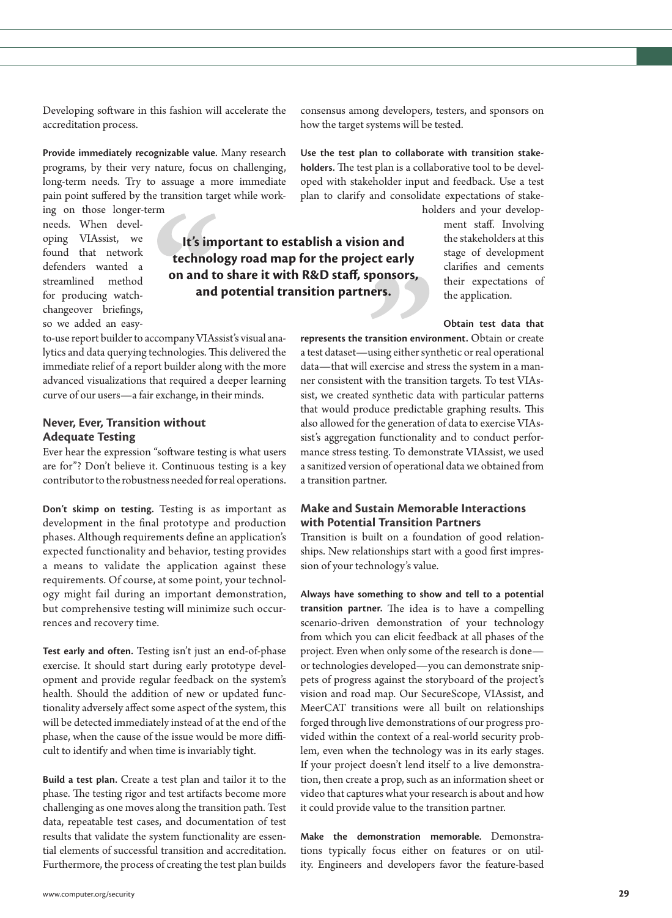Developing software in this fashion will accelerate the accreditation process.

**Provide immediately recognizable value.** Many research programs, by their very nature, focus on challenging, long-term needs. Try to assuage a more immediate pain point suffered by the transition target while working on those longer-term

needs. When developing VIAssist, we found that network defenders wanted a streamlined method for producing watchchangeover briefings, so we added an easy-

**It's important to establish a vision and technology road map for the project early on and to share it with R&D staff, sponsors, and potential transition partners.**

to-use report builder to accompany VIAssist's visual analytics and data querying technologies. This delivered the immediate relief of a report builder along with the more advanced visualizations that required a deeper learning curve of our users—a fair exchange, in their minds.

# **Never, Ever, Transition without Adequate Testing**

Ever hear the expression "software testing is what users are for"? Don't believe it. Continuous testing is a key contributor to the robustness needed for real operations.

**Don't skimp on testing.** Testing is as important as development in the final prototype and production phases. Although requirements define an application's expected functionality and behavior, testing provides a means to validate the application against these requirements. Of course, at some point, your technology might fail during an important demonstration, but comprehensive testing will minimize such occurrences and recovery time.

**Test early and often.** Testing isn't just an end-of-phase exercise. It should start during early prototype development and provide regular feedback on the system's health. Should the addition of new or updated functionality adversely affect some aspect of the system, this will be detected immediately instead of at the end of the phase, when the cause of the issue would be more difficult to identify and when time is invariably tight.

**Build a test plan.** Create a test plan and tailor it to the phase. The testing rigor and test artifacts become more challenging as one moves along the transition path. Test data, repeatable test cases, and documentation of test results that validate the system functionality are essential elements of successful transition and accreditation. Furthermore, the process of creating the test plan builds consensus among developers, testers, and sponsors on how the target systems will be tested.

**Use the test plan to collaborate with transition stakeholders.** The test plan is a collaborative tool to be developed with stakeholder input and feedback. Use a test plan to clarify and consolidate expectations of stakeholders and your develop-

> ment staff. Involving the stakeholders at this stage of development clarifies and cements their expectations of the application.

#### **Obtain test data that**

**represents the transition environment.** Obtain or create a test dataset—using either synthetic or real operational data—that will exercise and stress the system in a manner consistent with the transition targets. To test VIAssist, we created synthetic data with particular patterns that would produce predictable graphing results. This also allowed for the generation of data to exercise VIAssist's aggregation functionality and to conduct performance stress testing. To demonstrate VIAssist, we used a sanitized version of operational data we obtained from a transition partner.

# **Make and Sustain Memorable Interactions with Potential Transition Partners**

Transition is built on a foundation of good relationships. New relationships start with a good first impression of your technology's value.

**Always have something to show and tell to a potential transition partner.** The idea is to have a compelling scenario-driven demonstration of your technology from which you can elicit feedback at all phases of the project. Even when only some of the research is done or technologies developed—you can demonstrate snippets of progress against the storyboard of the project's vision and road map. Our SecureScope, VIAssist, and MeerCAT transitions were all built on relationships forged through live demonstrations of our progress provided within the context of a real-world security problem, even when the technology was in its early stages. If your project doesn't lend itself to a live demonstration, then create a prop, such as an information sheet or video that captures what your research is about and how it could provide value to the transition partner.

**Make the demonstration memorable.** Demonstrations typically focus either on features or on utility. Engineers and developers favor the feature-based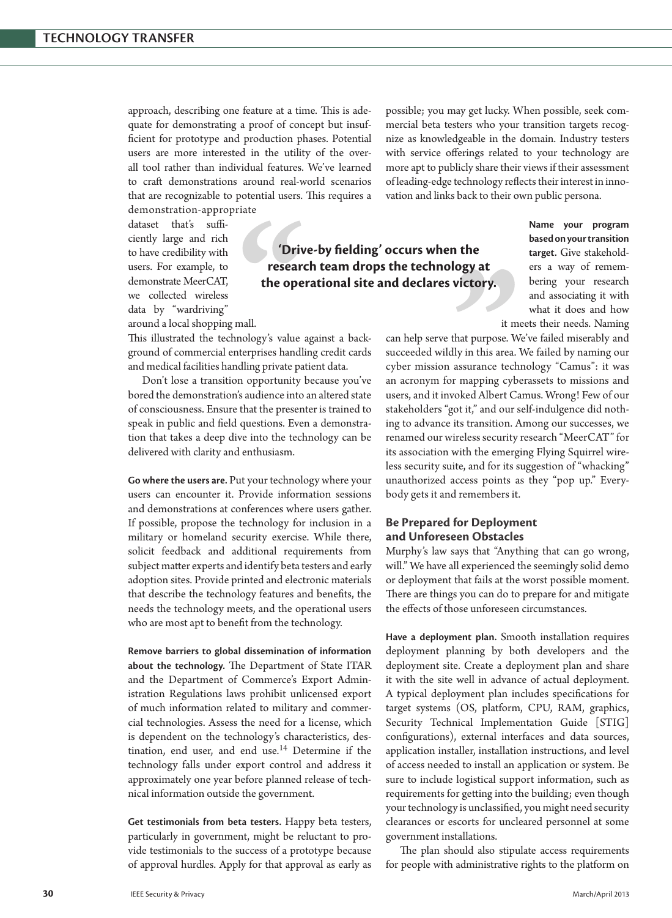approach, describing one feature at a time. This is adequate for demonstrating a proof of concept but insufficient for prototype and production phases. Potential users are more interested in the utility of the overall tool rather than individual features. We've learned to craft demonstrations around real-world scenarios that are recognizable to potential users. This requires a demonstration-appropriate

dataset that's sufficiently large and rich to have credibility with users. For example, to demonstrate MeerCAT, we collected wireless data by "wardriving"

around a local shopping mall.

This illustrated the technology's value against a background of commercial enterprises handling credit cards and medical facilities handling private patient data.

Don't lose a transition opportunity because you've bored the demonstration's audience into an altered state of consciousness. Ensure that the presenter is trained to speak in public and field questions. Even a demonstration that takes a deep dive into the technology can be delivered with clarity and enthusiasm.

**Go where the users are.** Put your technology where your users can encounter it. Provide information sessions and demonstrations at conferences where users gather. If possible, propose the technology for inclusion in a military or homeland security exercise. While there, solicit feedback and additional requirements from subject matter experts and identify beta testers and early adoption sites. Provide printed and electronic materials that describe the technology features and benefits, the needs the technology meets, and the operational users who are most apt to benefit from the technology.

**Remove barriers to global dissemination of information about the technology.** The Department of State ITAR and the Department of Commerce's Export Administration Regulations laws prohibit unlicensed export of much information related to military and commercial technologies. Assess the need for a license, which is dependent on the technology's characteristics, destination, end user, and end use. $14$  Determine if the technology falls under export control and address it approximately one year before planned release of technical information outside the government.

**Get testimonials from beta testers.** Happy beta testers, particularly in government, might be reluctant to provide testimonials to the success of a prototype because of approval hurdles. Apply for that approval as early as possible; you may get lucky. When possible, seek commercial beta testers who your transition targets recognize as knowledgeable in the domain. Industry testers with service offerings related to your technology are more apt to publicly share their views if their assessment of leading-edge technology reflects their interest in innovation and links back to their own public persona.

> **Name your program based on your transition target.** Give stakeholders a way of remembering your research and associating it with what it does and how it meets their needs. Naming

can help serve that purpose. We've failed miserably and succeeded wildly in this area. We failed by naming our cyber mission assurance technology "Camus": it was an acronym for mapping cyberassets to missions and users, and it invoked Albert Camus. Wrong! Few of our stakeholders "got it," and our self-indulgence did nothing to advance its transition. Among our successes, we renamed our wireless security research "MeerCAT" for its association with the emerging Flying Squirrel wireless security suite, and for its suggestion of "whacking" unauthorized access points as they "pop up." Everybody gets it and remembers it.

### **Be Prepared for Deployment and Unforeseen Obstacles**

**'Drive-by fielding' occurs when the research team drops the technology at the operational site and declares victory.**

> Murphy's law says that "Anything that can go wrong, will." We have all experienced the seemingly solid demo or deployment that fails at the worst possible moment. There are things you can do to prepare for and mitigate the effects of those unforeseen circumstances.

> **Have a deployment plan.** Smooth installation requires deployment planning by both developers and the deployment site. Create a deployment plan and share it with the site well in advance of actual deployment. A typical deployment plan includes specifications for target systems (OS, platform, CPU, RAM, graphics, Security Technical Implementation Guide [STIG] configurations), external interfaces and data sources, application installer, installation instructions, and level of access needed to install an application or system. Be sure to include logistical support information, such as requirements for getting into the building; even though your technology is unclassified, you might need security clearances or escorts for uncleared personnel at some government installations.

> The plan should also stipulate access requirements for people with administrative rights to the platform on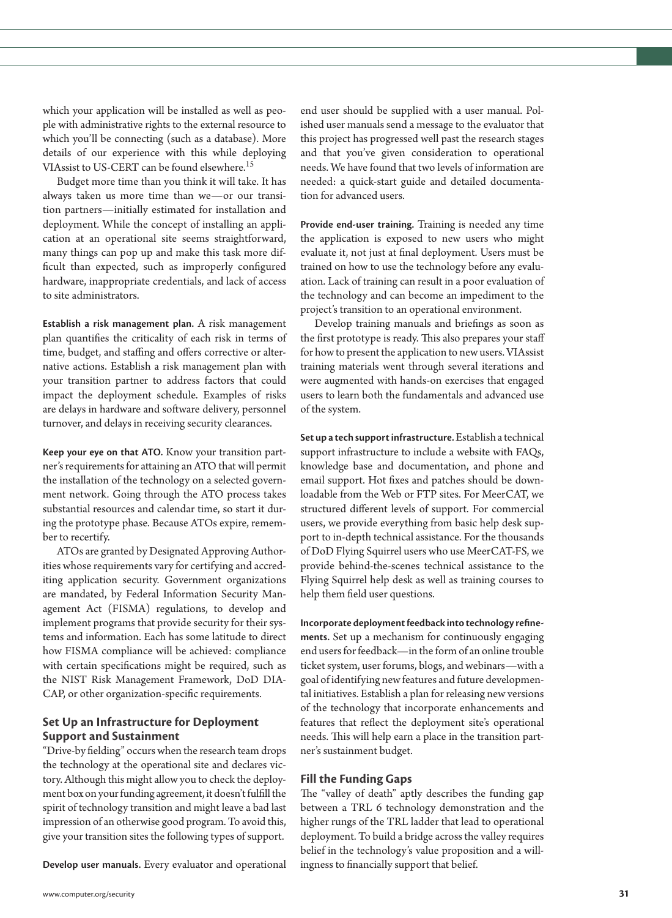which your application will be installed as well as people with administrative rights to the external resource to which you'll be connecting (such as a database). More details of our experience with this while deploying VIAssist to US-CERT can be found elsewhere.<sup>15</sup>

Budget more time than you think it will take. It has always taken us more time than we—or our transition partners—initially estimated for installation and deployment. While the concept of installing an application at an operational site seems straightforward, many things can pop up and make this task more difficult than expected, such as improperly configured hardware, inappropriate credentials, and lack of access to site administrators.

**Establish a risk management plan.** A risk management plan quantifies the criticality of each risk in terms of time, budget, and staffing and offers corrective or alternative actions. Establish a risk management plan with your transition partner to address factors that could impact the deployment schedule. Examples of risks are delays in hardware and software delivery, personnel turnover, and delays in receiving security clearances.

**Keep your eye on that ATO.** Know your transition partner's requirements for attaining an ATO that will permit the installation of the technology on a selected government network. Going through the ATO process takes substantial resources and calendar time, so start it during the prototype phase. Because ATOs expire, remember to recertify.

ATOs are granted by Designated Approving Authorities whose requirements vary for certifying and accrediting application security. Government organizations are mandated, by Federal Information Security Management Act (FISMA) regulations, to develop and implement programs that provide security for their systems and information. Each has some latitude to direct how FISMA compliance will be achieved: compliance with certain specifications might be required, such as the NIST Risk Management Framework, DoD DIA-CAP, or other organization-specific requirements.

## **Set Up an Infrastructure for Deployment Support and Sustainment**

"Drive-by fielding" occurs when the research team drops the technology at the operational site and declares victory. Although this might allow you to check the deployment box on your funding agreement, it doesn't fulfill the spirit of technology transition and might leave a bad last impression of an otherwise good program. To avoid this, give your transition sites the following types of support.

**Develop user manuals.** Every evaluator and operational

end user should be supplied with a user manual. Polished user manuals send a message to the evaluator that this project has progressed well past the research stages and that you've given consideration to operational needs. We have found that two levels of information are needed: a quick-start guide and detailed documentation for advanced users.

**Provide end-user training.** Training is needed any time the application is exposed to new users who might evaluate it, not just at final deployment. Users must be trained on how to use the technology before any evaluation. Lack of training can result in a poor evaluation of the technology and can become an impediment to the project's transition to an operational environment.

Develop training manuals and briefings as soon as the first prototype is ready. This also prepares your staff for how to present the application to new users. VIAssist training materials went through several iterations and were augmented with hands-on exercises that engaged users to learn both the fundamentals and advanced use of the system.

**Set up a tech support infrastructure.**Establish a technical support infrastructure to include a website with FAQs, knowledge base and documentation, and phone and email support. Hot fixes and patches should be downloadable from the Web or FTP sites. For MeerCAT, we structured different levels of support. For commercial users, we provide everything from basic help desk support to in-depth technical assistance. For the thousands of DoD Flying Squirrel users who use MeerCAT-FS, we provide behind-the-scenes technical assistance to the Flying Squirrel help desk as well as training courses to help them field user questions.

**Incorporate deployment feedback into technology refinements.** Set up a mechanism for continuously engaging end users for feedback—in the form of an online trouble ticket system, user forums, blogs, and webinars—with a goal of identifying new features and future developmental initiatives. Establish a plan for releasing new versions of the technology that incorporate enhancements and features that reflect the deployment site's operational needs. This will help earn a place in the transition partner's sustainment budget.

#### **Fill the Funding Gaps**

The "valley of death" aptly describes the funding gap between a TRL 6 technology demonstration and the higher rungs of the TRL ladder that lead to operational deployment. To build a bridge across the valley requires belief in the technology's value proposition and a willingness to financially support that belief.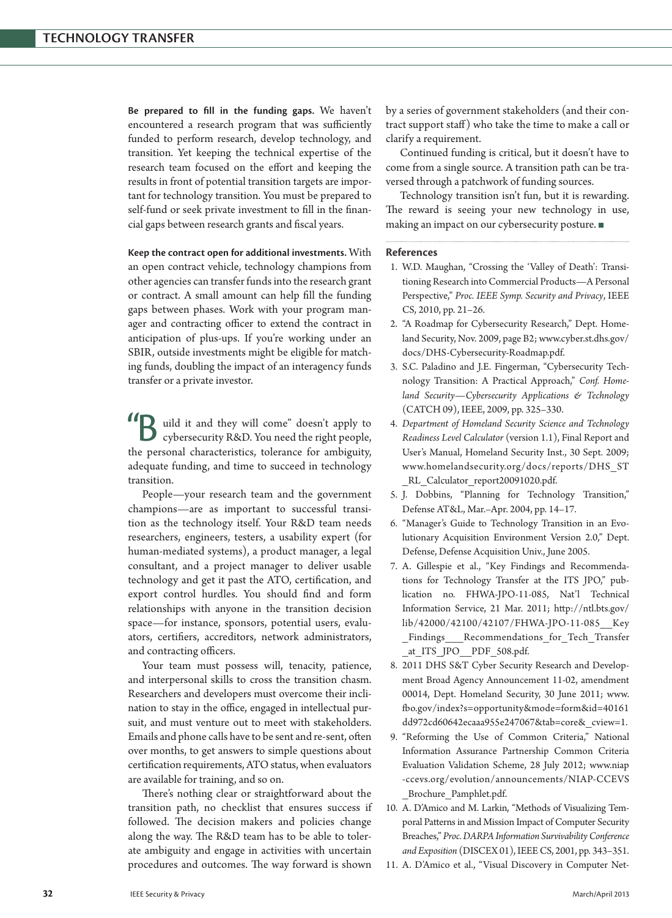**Be prepared to fill in the funding gaps.** We haven't encountered a research program that was sufficiently funded to perform research, develop technology, and transition. Yet keeping the technical expertise of the research team focused on the effort and keeping the results in front of potential transition targets are important for technology transition. You must be prepared to self-fund or seek private investment to fill in the financial gaps between research grants and fiscal years.

**Keep the contract open for additional investments.** With an open contract vehicle, technology champions from other agencies can transfer funds into the research grant or contract. A small amount can help fill the funding gaps between phases. Work with your program manager and contracting officer to extend the contract in anticipation of plus-ups. If you're working under an SBIR, outside investments might be eligible for matching funds, doubling the impact of an interagency funds transfer or a private investor.

"Build it and they will come" doesn't apply to cybersecurity R&D. You need the right people, the personal characteristics, tolerance for ambiguity, adequate funding, and time to succeed in technology transition.

People—your research team and the government champions—are as important to successful transition as the technology itself. Your R&D team needs researchers, engineers, testers, a usability expert (for human-mediated systems), a product manager, a legal consultant, and a project manager to deliver usable technology and get it past the ATO, certification, and export control hurdles. You should find and form relationships with anyone in the transition decision space—for instance, sponsors, potential users, evaluators, certifiers, accreditors, network administrators, and contracting officers.

Your team must possess will, tenacity, patience, and interpersonal skills to cross the transition chasm. Researchers and developers must overcome their inclination to stay in the office, engaged in intellectual pursuit, and must venture out to meet with stakeholders. Emails and phone calls have to be sent and re-sent, often over months, to get answers to simple questions about certification requirements, ATO status, when evaluators are available for training, and so on.

There's nothing clear or straightforward about the transition path, no checklist that ensures success if followed. The decision makers and policies change along the way. The R&D team has to be able to tolerate ambiguity and engage in activities with uncertain procedures and outcomes. The way forward is shown

by a series of government stakeholders (and their contract support staff) who take the time to make a call or clarify a requirement.

Continued funding is critical, but it doesn't have to come from a single source. A transition path can be traversed through a patchwork of funding sources.

Technology transition isn't fun, but it is rewarding. The reward is seeing your new technology in use, making an impact on our cybersecurity posture.

#### **References**

- 1. W.D. Maughan, "Crossing the 'Valley of Death': Transitioning Research into Commercial Products—A Personal Perspective," *Proc. IEEE Symp. Security and Privacy*, IEEE CS, 2010, pp. 21–26.
- 2. "A Roadmap for Cybersecurity Research," Dept. Homeland Security, Nov. 2009, page B2; www.cyber.st.dhs.gov/ docs/DHS-Cybersecurity-Roadmap.pdf.
- 3. S.C. Paladino and J.E. Fingerman, "Cybersecurity Technology Transition: A Practical Approach," *Conf. Homeland Security—Cybersecurity Applications & Technology*  (CATCH 09), IEEE, 2009, pp. 325–330.
- 4. *Department of Homeland Security Science and Technology Readiness Level Calculator* (version 1.1), Final Report and User's Manual, Homeland Security Inst., 30 Sept. 2009; www.homelandsecurity.org/docs/reports/DHS\_ST \_RL\_Calculator\_report20091020.pdf.
- 5. J. Dobbins, "Planning for Technology Transition," Defense AT&L, Mar.–Apr. 2004, pp. 14–17.
- 6. "Manager's Guide to Technology Transition in an Evolutionary Acquisition Environment Version 2.0," Dept. Defense, Defense Acquisition Univ., June 2005.
- 7. A. Gillespie et al., "Key Findings and Recommendations for Technology Transfer at the ITS JPO," publication no. FHWA-JPO-11-085, Nat'l Technical Information Service, 21 Mar. 2011; http://ntl.bts.gov/ lib/42000/42100/42107/FHWA-JPO-11-085\_\_Key Findings Recommendations for Tech Transfer at\_ITS\_JPO\_\_PDF\_508.pdf.
- 8. 2011 DHS S&T Cyber Security Research and Development Broad Agency Announcement 11-02, amendment 00014, Dept. Homeland Security, 30 June 2011; www. fbo.gov/index?s=opportunity&mode=form&id=40161 dd972cd60642ecaaa955e247067&tab=core&\_cview=1.
- 9. "Reforming the Use of Common Criteria," National Information Assurance Partnership Common Criteria Evaluation Validation Scheme, 28 July 2012; www.niap -ccevs.org/evolution/announcements/NIAP-CCEVS \_Brochure\_Pamphlet.pdf.
- 10. A. D'Amico and M. Larkin, "Methods of Visualizing Temporal Patterns in and Mission Impact of Computer Security Breaches," *Proc. DARPA Information Survivability Conference and Exposition* (DISCEX 01), IEEE CS, 2001, pp. 343–351.
- 11. A. D'Amico et al., "Visual Discovery in Computer Net-